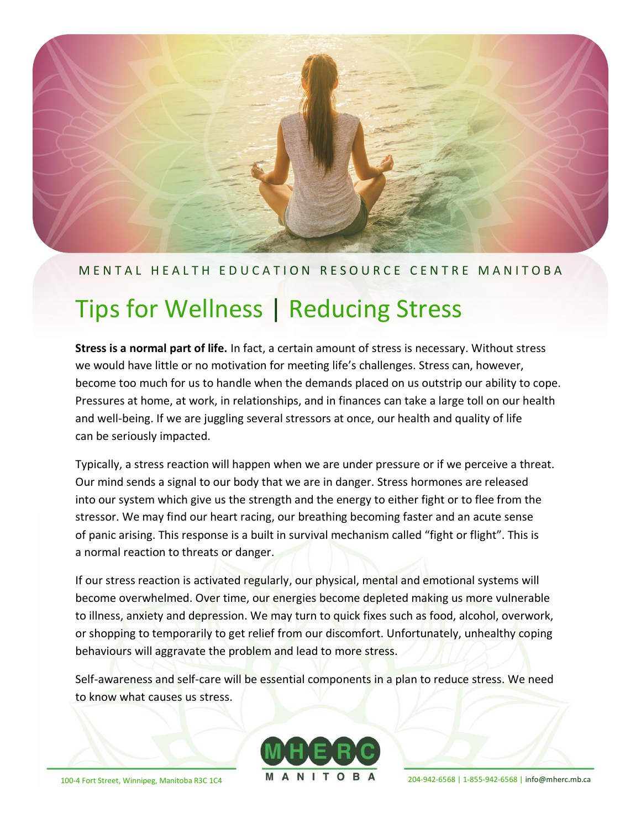#### M E N T A L H E A L T H E D U C A T I O N R E S O U R C E C E N T R EM A N I T O B A

# Tips for Wellness | Reducing Stress

**Stress is a normal part of life.** In fact, a certain amount of stress is necessary. Without stress we would have little or no motivation for meeting life's challenges. Stress can, however, become too much for us to handle when the demands placed on us outstrip our ability to cope. Pressures at home, at work, in relationships, and in finances can take a large toll on our health and well-being. If we are juggling several stressors at once, our health and quality of life can be seriously impacted.

Typically, a stress reaction will happen when we are under pressure or if we perceive a threat. Our mind sends a signal to our body that we are in danger. Stress hormones are released into our system which give us the strength and the energy to either fight or to flee from the stressor. We may find our heart racing, our breathing becoming faster and an acute sense of panic arising. This response is a built in survival mechanism called "fight or flight". This is a normal reaction to threats or danger.

If our stress reaction is activated regularly, our physical, mental and emotional systems will become overwhelmed. Over time, our energies become depleted making us more vulnerable to illness, anxiety and depression. We may turn to quick fixes such as food, alcohol, overwork, or shopping to temporarily to get relief from our discomfort. Unfortunately, unhealthy coping behaviours will aggravate the problem and lead to more stress.

Self-awareness and self-care will be essential components in a plan to reduce stress. We need to know what causes us stress.

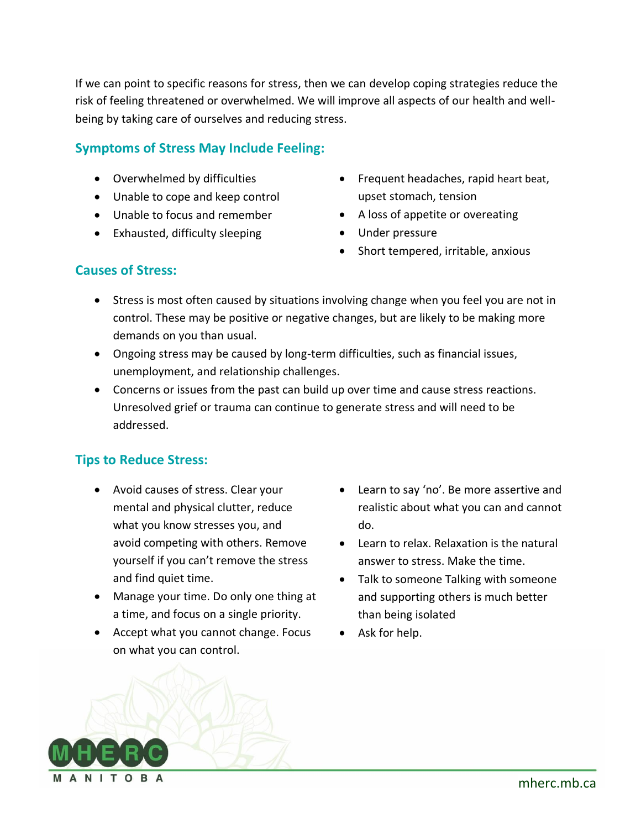If we can point to specific reasons for stress, then we can develop coping strategies reduce the risk of feeling threatened or overwhelmed. We will improve all aspects of our health and wellbeing by taking care of ourselves and reducing stress.

## **Symptoms of Stress May Include Feeling:**

- Overwhelmed by difficulties
- Unable to cope and keep control
- Unable to focus and remember
- Exhausted, difficulty sleeping
- Frequent headaches, rapid heart beat, upset stomach, tension
- A loss of appetite or overeating
- Under pressure
- Short tempered, irritable, anxious

#### **Causes of Stress:**

- Stress is most often caused by situations involving change when you feel you are not in control. These may be positive or negative changes, but are likely to be making more demands on you than usual.
- Ongoing stress may be caused by long-term difficulties, such as financial issues, unemployment, and relationship challenges.
- Concerns or issues from the past can build up over time and cause stress reactions. Unresolved grief or trauma can continue to generate stress and will need to be addressed.

#### **Tips to Reduce Stress:**

- Avoid causes of stress. Clear your mental and physical clutter, reduce what you know stresses you, and avoid competing with others. Remove yourself if you can't remove the stress and find quiet time.
- Manage your time. Do only one thing at a time, and focus on a single priority.
- Accept what you cannot change. Focus on what you can control.
- Learn to say 'no'. Be more assertive and realistic about what you can and cannot do.
- Learn to relax. Relaxation is the natural answer to stress. Make the time.
- Talk to someone Talking with someone and supporting others is much better than being isolated
- Ask for help.